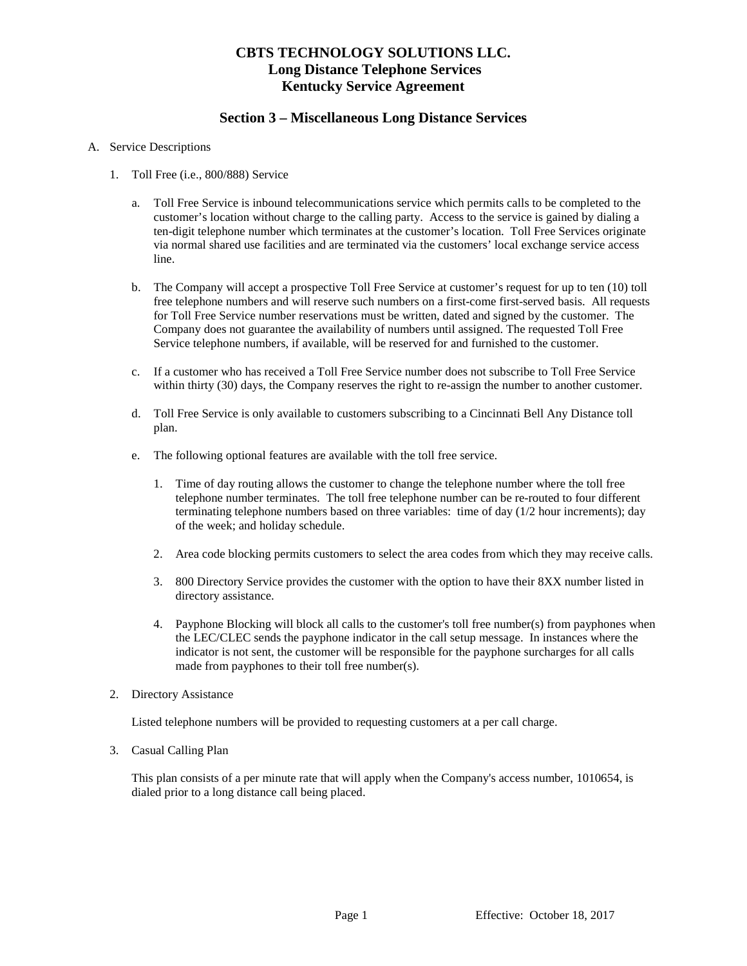## **CBTS TECHNOLOGY SOLUTIONS LLC. Long Distance Telephone Services Kentucky Service Agreement**

### **Section 3 – Miscellaneous Long Distance Services**

#### A. Service Descriptions

- 1. Toll Free (i.e., 800/888) Service
	- a. Toll Free Service is inbound telecommunications service which permits calls to be completed to the customer's location without charge to the calling party. Access to the service is gained by dialing a ten-digit telephone number which terminates at the customer's location. Toll Free Services originate via normal shared use facilities and are terminated via the customers' local exchange service access line.
	- b. The Company will accept a prospective Toll Free Service at customer's request for up to ten (10) toll free telephone numbers and will reserve such numbers on a first-come first-served basis. All requests for Toll Free Service number reservations must be written, dated and signed by the customer. The Company does not guarantee the availability of numbers until assigned. The requested Toll Free Service telephone numbers, if available, will be reserved for and furnished to the customer.
	- c. If a customer who has received a Toll Free Service number does not subscribe to Toll Free Service within thirty (30) days, the Company reserves the right to re-assign the number to another customer.
	- d. Toll Free Service is only available to customers subscribing to a Cincinnati Bell Any Distance toll plan.
	- e. The following optional features are available with the toll free service.
		- 1. Time of day routing allows the customer to change the telephone number where the toll free telephone number terminates. The toll free telephone number can be re-routed to four different terminating telephone numbers based on three variables: time of day (1/2 hour increments); day of the week; and holiday schedule.
		- 2. Area code blocking permits customers to select the area codes from which they may receive calls.
		- 3. 800 Directory Service provides the customer with the option to have their 8XX number listed in directory assistance.
		- 4. Payphone Blocking will block all calls to the customer's toll free number(s) from payphones when the LEC/CLEC sends the payphone indicator in the call setup message. In instances where the indicator is not sent, the customer will be responsible for the payphone surcharges for all calls made from payphones to their toll free number(s).
- 2. Directory Assistance

Listed telephone numbers will be provided to requesting customers at a per call charge.

3. Casual Calling Plan

This plan consists of a per minute rate that will apply when the Company's access number, 1010654, is dialed prior to a long distance call being placed.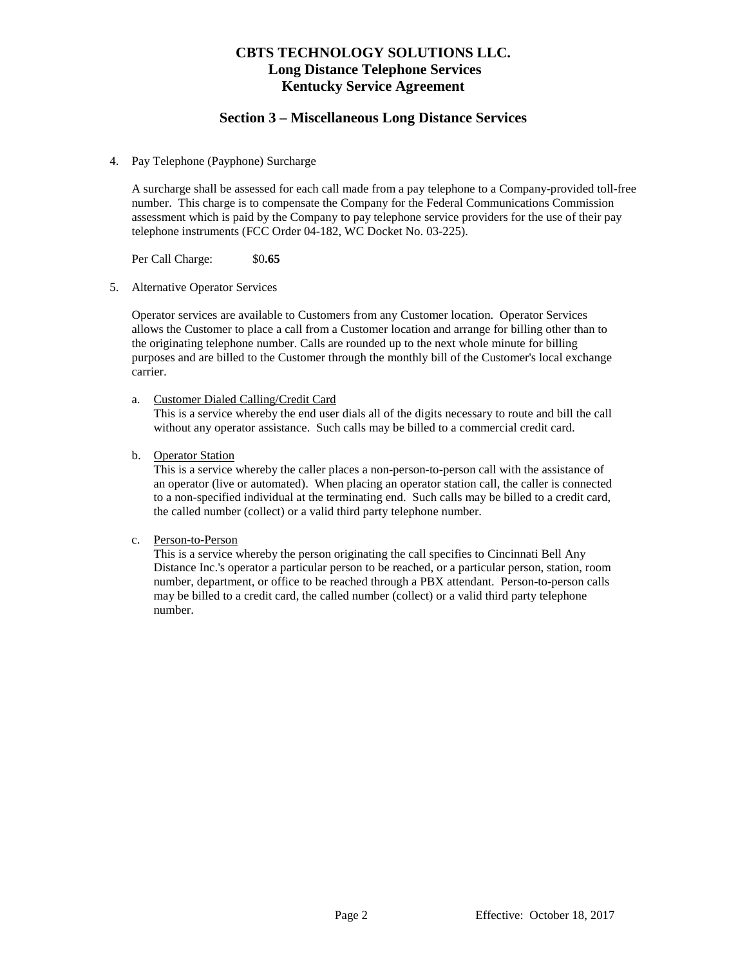## **CBTS TECHNOLOGY SOLUTIONS LLC. Long Distance Telephone Services Kentucky Service Agreement**

#### **Section 3 – Miscellaneous Long Distance Services**

4. Pay Telephone (Payphone) Surcharge

A surcharge shall be assessed for each call made from a pay telephone to a Company-provided toll-free number. This charge is to compensate the Company for the Federal Communications Commission assessment which is paid by the Company to pay telephone service providers for the use of their pay telephone instruments (FCC Order 04-182, WC Docket No. 03-225).

Per Call Charge: \$0**.65**

5. Alternative Operator Services

Operator services are available to Customers from any Customer location. Operator Services allows the Customer to place a call from a Customer location and arrange for billing other than to the originating telephone number. Calls are rounded up to the next whole minute for billing purposes and are billed to the Customer through the monthly bill of the Customer's local exchange carrier.

a. Customer Dialed Calling/Credit Card

This is a service whereby the end user dials all of the digits necessary to route and bill the call without any operator assistance. Such calls may be billed to a commercial credit card.

b. Operator Station

This is a service whereby the caller places a non-person-to-person call with the assistance of an operator (live or automated). When placing an operator station call, the caller is connected to a non-specified individual at the terminating end. Such calls may be billed to a credit card, the called number (collect) or a valid third party telephone number.

c. Person-to-Person

This is a service whereby the person originating the call specifies to Cincinnati Bell Any Distance Inc.'s operator a particular person to be reached, or a particular person, station, room number, department, or office to be reached through a PBX attendant. Person-to-person calls may be billed to a credit card, the called number (collect) or a valid third party telephone number.